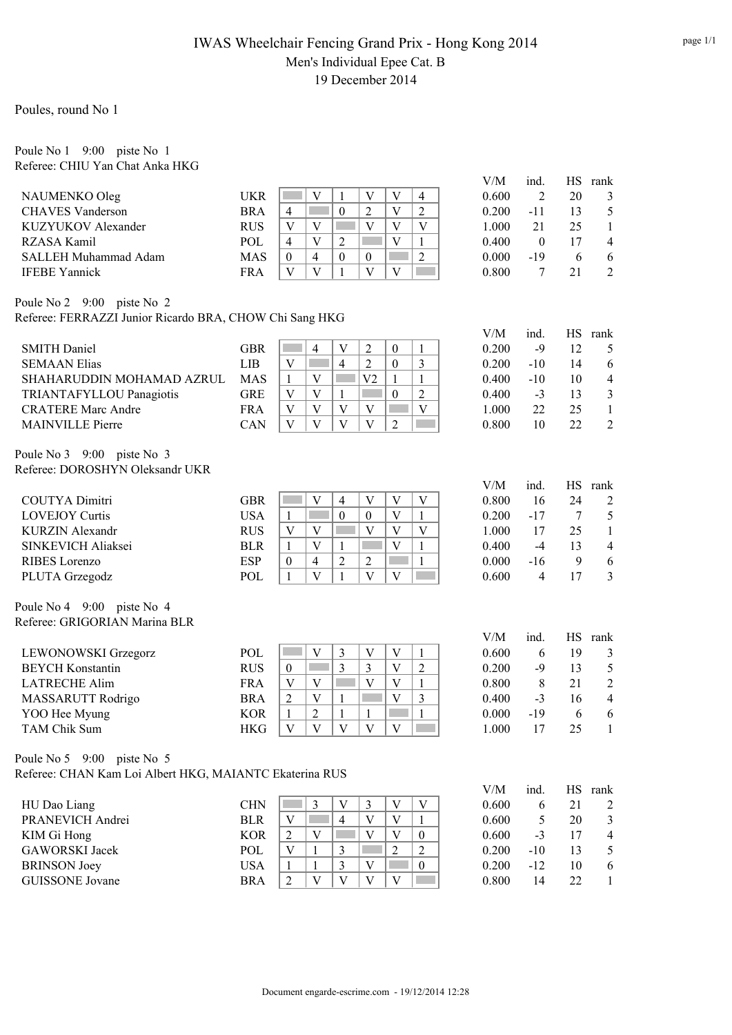## IWAS Wheelchair Fencing Grand Prix - Hong Kong 2014 Men's Individual Epee Cat. B 19 December 2014

Poules, round No 1

### Poule No 1 9:00 piste No 1 Referee: CHIU Yan Chat Anka HKG

|                                                         |            |                                                                                              | V/M   | ind.           | HS        | rank                |
|---------------------------------------------------------|------------|----------------------------------------------------------------------------------------------|-------|----------------|-----------|---------------------|
| NAUMENKO Oleg                                           | <b>UKR</b> | $\overline{V}$<br>V<br>V<br>$\mathbf{1}$<br>4                                                | 0.600 | $\overline{2}$ | 20        | 3                   |
| <b>CHAVES</b> Vanderson                                 | <b>BRA</b> | $\overline{V}$<br>$\overline{2}$<br>$\overline{2}$<br>$\overline{4}$<br>$\mathbf{0}$         | 0.200 | $-11$          | 13        | 5                   |
| KUZYUKOV Alexander                                      | <b>RUS</b> | $\overline{V}$<br>$\overline{V}$<br>$\overline{V}$<br>$\overline{\mathbf{V}}$<br>V           | 1.000 | 21             | 25        | 1                   |
| RZASA Kamil                                             | POL        | $\overline{V}$<br>V<br>$\overline{2}$<br><b>College</b><br>$\mathbf{1}$<br>$\overline{4}$    | 0.400 | $\mathbf{0}$   | 17        | 4                   |
| <b>SALLEH Muhammad Adam</b>                             | <b>MAS</b> | $\overline{2}$<br>$\overline{4}$<br>$\boldsymbol{0}$<br>$\boldsymbol{0}$<br>$\boldsymbol{0}$ | 0.000 | $-19$          | 6         | 6                   |
| <b>IFEBE Yannick</b>                                    | <b>FRA</b> | $\overline{V}$<br>$\mathbf V$<br>$\mathbf{1}$<br>V<br>V                                      | 0.800 | 7              | 21        | $\overline{2}$      |
|                                                         |            |                                                                                              |       |                |           |                     |
| Poule No 2 9:00 piste No 2                              |            |                                                                                              |       |                |           |                     |
| Referee: FERRAZZI Junior Ricardo BRA, CHOW Chi Sang HKG |            |                                                                                              |       |                |           |                     |
|                                                         |            |                                                                                              | V/M   | ind.           | <b>HS</b> | rank                |
| <b>SMITH Daniel</b>                                     | <b>GBR</b> | $\overline{2}$<br>$\mathbf{1}$<br>$\overline{4}$<br>V<br>$\boldsymbol{0}$                    | 0.200 | $-9$           | 12        | 5                   |
| <b>SEMAAN Elias</b>                                     | <b>LIB</b> | $\mathfrak{Z}$<br>$\overline{2}$<br>$\boldsymbol{0}$<br>V<br>$\overline{4}$                  | 0.200 | $-10$          | 14        | 6                   |
| SHAHARUDDIN MOHAMAD AZRUL                               | <b>MAS</b> | V <sub>2</sub><br>$\mathbf{1}$<br>$\mathbf{1}$<br>V<br>$\mathbf{1}$                          | 0.400 | $-10$          | 10        | $\overline{4}$      |
| TRIANTAFYLLOU Panagiotis                                | <b>GRE</b> | $\sqrt{2}$<br>V<br>V<br>$\mathbf{1}$<br>$\boldsymbol{0}$                                     | 0.400 | $-3$           | 13        | 3                   |
| <b>CRATERE Marc Andre</b>                               | <b>FRA</b> | $\mathbf V$<br>$\overline{V}$<br>$\mathbf V$<br>V<br>V                                       | 1.000 | 22             | 25        | $\,1$               |
| <b>MAINVILLE Pierre</b>                                 | CAN        | $\mathbf V$<br>$\overline{V}$<br>$\overline{\mathsf{V}}$<br>$\overline{V}$<br>$\overline{2}$ | 0.800 | 10             | 22        | $\overline{2}$      |
|                                                         |            |                                                                                              |       |                |           |                     |
| Poule No 3 9:00 piste No 3                              |            |                                                                                              |       |                |           |                     |
| Referee: DOROSHYN Oleksandr UKR                         |            |                                                                                              |       |                |           |                     |
|                                                         |            |                                                                                              | V/M   | ind.           |           | HS rank             |
| <b>COUTYA Dimitri</b>                                   | <b>GBR</b> | $\overline{V}$<br>V<br>V<br>V<br>$\overline{4}$                                              | 0.800 | 16             | 24        | 2                   |
| <b>LOVEJOY Curtis</b>                                   | <b>USA</b> | $\overline{0}$<br>$\overline{V}$<br>$\mathbf{1}$<br>$\mathbf{1}$<br>$\boldsymbol{0}$         | 0.200 | $-17$          | 7         | 5                   |
| <b>KURZIN Alexandr</b>                                  | <b>RUS</b> | $\overline{V}$<br>$\overline{V}$<br>V<br>V<br>V                                              | 1.000 | 17             | 25        | $\mathbf{1}$        |
| SINKEVICH Aliaksei                                      | <b>BLR</b> | $\overline{V}$<br>$\overline{\mathbf{V}}$<br>П<br>$\mathbf{1}$<br>1<br>1                     | 0.400 | $-4$           | 13        | $\overline{4}$      |
| RIBES Lorenzo                                           | <b>ESP</b> | $\overline{4}$<br>$\overline{2}$<br>$\mathbf{1}$<br>$\overline{2}$<br>$\boldsymbol{0}$       | 0.000 | $-16$          | 9         | 6                   |
| PLUTA Grzegodz                                          | POL        | $\overline{V}$<br>$\mathbf{1}$<br>V<br>V<br>$\mathbf{1}$                                     | 0.600 | $\overline{4}$ | 17        | 3                   |
| Poule No 4 9:00 piste No 4                              |            |                                                                                              |       |                |           |                     |
| Referee: GRIGORIAN Marina BLR                           |            |                                                                                              |       |                |           |                     |
|                                                         |            |                                                                                              | V/M   | ind.           | <b>HS</b> | rank                |
| LEWONOWSKI Grzegorz                                     | POL        | $\mathfrak{Z}$<br>V<br>V<br>V<br>1                                                           | 0.600 | 6              | 19        |                     |
| <b>BEYCH Konstantin</b>                                 | <b>RUS</b> | $\overline{3}$<br>$\overline{2}$<br>$\overline{3}$<br>V<br>$\boldsymbol{0}$                  | 0.200 | $-9$           | 13        | 3                   |
| <b>LATRECHE Alim</b>                                    | <b>FRA</b> | $\overline{V}$<br>V<br>$\mathbf V$<br>V<br>$\mathbf{1}$                                      | 0.800 | 8              | 21        | 5<br>$\overline{c}$ |
|                                                         | <b>BRA</b> | $\overline{V}$<br>V<br>$\mathfrak{Z}$<br>$\sqrt{2}$<br>$\mathbf 1$                           | 0.400 | $-3$           | 16        | 4                   |
| MASSARUTT Rodrigo                                       |            | $\overline{2}$                                                                               |       |                | 6         |                     |
| YOO Hee Myung                                           | <b>KOR</b> | $\mathbf{1}$<br>$\mathbf{1}$<br>$\mathbf{1}$<br>1                                            | 0.000 | $-19$          |           | 6                   |
| TAM Chik Sum                                            | <b>HKG</b> | $\mathbf V$<br>$\mathbf V$<br>V<br>V<br>V                                                    | 1.000 | 17             | 25        | $\mathbf{1}$        |
| Poule No 5 9:00 piste No 5                              |            |                                                                                              |       |                |           |                     |
| Referee: CHAN Kam Loi Albert HKG, MAIANTC Ekaterina RUS |            |                                                                                              |       |                |           |                     |
|                                                         |            |                                                                                              | V/M   | ind.           | HS        | rank                |
| HU Dao Liang                                            | <b>CHN</b> | $\mathfrak{Z}$<br>$\ensuremath{\mathsf{V}}$<br>$\ensuremath{\mathsf{V}}$<br>3<br>$\mathbf V$ | 0.600 | 6              | 21        | 2                   |
| PRANEVICH Andrei                                        | <b>BLR</b> | $\ensuremath{\mathbf{V}}$<br>$\overline{4}$<br>V<br>V<br>$\mathbf{1}$                        | 0.600 | 5              | 20        | 3                   |
| KIM Gi Hong                                             | <b>KOR</b> | $\overline{2}$<br>$\mathbf V$<br>V<br>$\mathbf V$<br>$\boldsymbol{0}$                        | 0.600 | $-3$           | 17        | $\overline{4}$      |
| <b>GAWORSKI</b> Jacek                                   | POL        | $\mathfrak{2}$<br>3<br>$\overline{2}$<br>V<br>$\mathbf{1}$                                   | 0.200 | $-10$          | 13        | 5                   |
| <b>BRINSON Joey</b>                                     | <b>USA</b> | 3<br>$\mathbf{1}$<br>V<br>$\boldsymbol{0}$<br>$\mathbf{1}$                                   | 0.200 | $-12$          | 10        | $\boldsymbol{6}$    |
| <b>GUISSONE</b> Jovane                                  | <b>BRA</b> | V<br>V<br>V<br>$\ensuremath{\mathsf{V}}$<br>$\overline{2}$                                   | 0.800 | 14             | 22        | 1                   |
|                                                         |            |                                                                                              |       |                |           |                     |
|                                                         |            |                                                                                              |       |                |           |                     |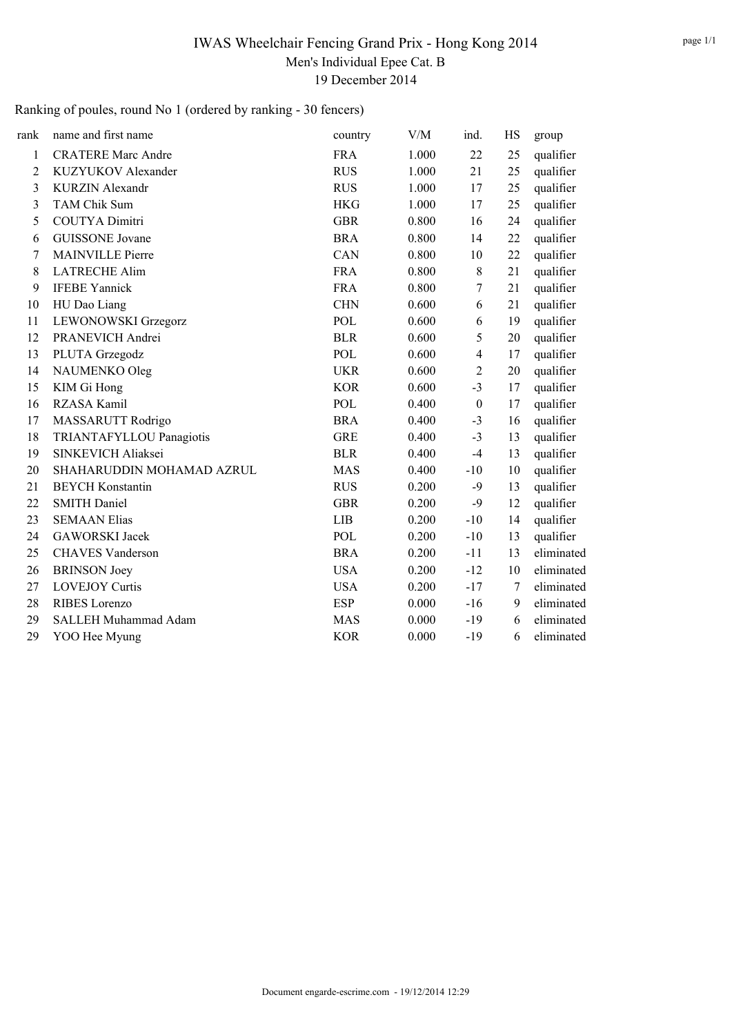## IWAS Wheelchair Fencing Grand Prix - Hong Kong 2014 Men's Individual Epee Cat. B 19 December 2014

# Ranking of poules, round No 1 (ordered by ranking - 30 fencers)

| rank           | name and first name       | country    | V/M   | ind.             | HS | group      |
|----------------|---------------------------|------------|-------|------------------|----|------------|
| $\mathbf{1}$   | <b>CRATERE Marc Andre</b> | <b>FRA</b> | 1.000 | 22               | 25 | qualifier  |
| $\overline{2}$ | KUZYUKOV Alexander        | <b>RUS</b> | 1.000 | 21               | 25 | qualifier  |
| 3              | <b>KURZIN Alexandr</b>    | <b>RUS</b> | 1.000 | 17               | 25 | qualifier  |
| 3              | TAM Chik Sum              | <b>HKG</b> | 1.000 | 17               | 25 | qualifier  |
| 5              | <b>COUTYA Dimitri</b>     | <b>GBR</b> | 0.800 | 16               | 24 | qualifier  |
| 6              | <b>GUISSONE</b> Jovane    | <b>BRA</b> | 0.800 | 14               | 22 | qualifier  |
| 7              | <b>MAINVILLE Pierre</b>   | CAN        | 0.800 | 10               | 22 | qualifier  |
| 8              | <b>LATRECHE Alim</b>      | <b>FRA</b> | 0.800 | 8                | 21 | qualifier  |
| 9              | <b>IFEBE Yannick</b>      | <b>FRA</b> | 0.800 | 7                | 21 | qualifier  |
| 10             | HU Dao Liang              | <b>CHN</b> | 0.600 | 6                | 21 | qualifier  |
| 11             | LEWONOWSKI Grzegorz       | POL        | 0.600 | 6                | 19 | qualifier  |
| 12             | PRANEVICH Andrei          | <b>BLR</b> | 0.600 | 5                | 20 | qualifier  |
| 13             | PLUTA Grzegodz            | POL        | 0.600 | 4                | 17 | qualifier  |
| 14             | NAUMENKO Oleg             | <b>UKR</b> | 0.600 | $\overline{2}$   | 20 | qualifier  |
| 15             | KIM Gi Hong               | <b>KOR</b> | 0.600 | $-3$             | 17 | qualifier  |
| 16             | RZASA Kamil               | POL        | 0.400 | $\boldsymbol{0}$ | 17 | qualifier  |
| 17             | MASSARUTT Rodrigo         | <b>BRA</b> | 0.400 | $-3$             | 16 | qualifier  |
| 18             | TRIANTAFYLLOU Panagiotis  | <b>GRE</b> | 0.400 | $-3$             | 13 | qualifier  |
| 19             | SINKEVICH Aliaksei        | <b>BLR</b> | 0.400 | $-4$             | 13 | qualifier  |
| 20             | SHAHARUDDIN MOHAMAD AZRUL | <b>MAS</b> | 0.400 | $-10$            | 10 | qualifier  |
| 21             | <b>BEYCH Konstantin</b>   | <b>RUS</b> | 0.200 | $-9$             | 13 | qualifier  |
| 22             | <b>SMITH Daniel</b>       | <b>GBR</b> | 0.200 | $-9$             | 12 | qualifier  |
| 23             | <b>SEMAAN Elias</b>       | <b>LIB</b> | 0.200 | $-10$            | 14 | qualifier  |
| 24             | <b>GAWORSKI</b> Jacek     | POL        | 0.200 | $-10$            | 13 | qualifier  |
| 25             | <b>CHAVES Vanderson</b>   | <b>BRA</b> | 0.200 | $-11$            | 13 | eliminated |
| 26             | <b>BRINSON</b> Joey       | <b>USA</b> | 0.200 | $-12$            | 10 | eliminated |
| 27             | <b>LOVEJOY Curtis</b>     | <b>USA</b> | 0.200 | $-17$            | 7  | eliminated |
| 28             | RIBES Lorenzo             | <b>ESP</b> | 0.000 | $-16$            | 9  | eliminated |
| 29             | SALLEH Muhammad Adam      | <b>MAS</b> | 0.000 | $-19$            | 6  | eliminated |
| 29             | YOO Hee Myung             | <b>KOR</b> | 0.000 | $-19$            | 6  | eliminated |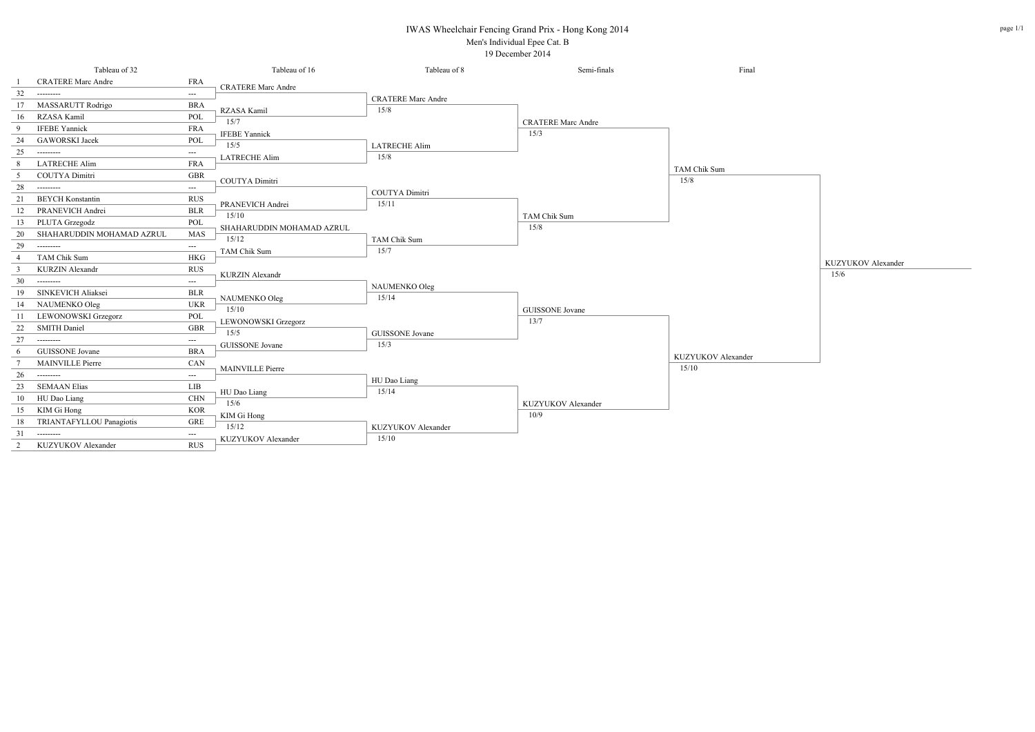### IWAS Wheelchair Fencing Grand Prix - Hong Kong 2014

#### Men's Individual Epee Cat. B 19 December 2014

page 1/1

|                 | Tableau of 32              |                     | Tableau of 16             | Tableau of 8              | Semi-finals               | Final               |
|-----------------|----------------------------|---------------------|---------------------------|---------------------------|---------------------------|---------------------|
|                 | <b>CRATERE Marc Andre</b>  | <b>FRA</b>          | <b>CRATERE Marc Andre</b> |                           |                           |                     |
| 32              | ---------                  | ---                 |                           | <b>CRATERE Marc Andre</b> |                           |                     |
| 17              | MASSARUTT Rodrigo          | <b>BRA</b>          | RZASA Kamil               | 15/8                      |                           |                     |
| 16              | RZASA Kamil                | POL                 | 15/7                      |                           | <b>CRATERE Marc Andre</b> |                     |
| 9               | <b>IFEBE Yannick</b>       | <b>FRA</b>          | <b>IFEBE Yannick</b>      |                           | 15/3                      |                     |
| 24              | <b>GAWORSKI</b> Jacek      | POL                 | 15/5                      | <b>LATRECHE Alim</b>      |                           |                     |
| 25              | ---------                  | ---                 | <b>LATRECHE Alim</b>      | 15/8                      |                           |                     |
| 8               | <b>LATRECHE Alim</b>       | <b>FRA</b>          |                           |                           |                           | <b>TAM Chik Sum</b> |
| 5               | COUTYA Dimitri             | <b>GBR</b>          | COUTYA Dimitri            |                           |                           | 15/8                |
| 28              | ---------                  | $---$               |                           | COUTYA Dimitri            |                           |                     |
| 21              | <b>BEYCH Konstantin</b>    | <b>RUS</b>          | PRANEVICH Andrei          | 15/11                     |                           |                     |
| 12              | PRANEVICH Andrei           | $BLR$               | 15/10                     |                           | TAM Chik Sum              |                     |
| 13              | PLUTA Grzegodz             | POL                 | SHAHARUDDIN MOHAMAD AZRUL |                           | 15/8                      |                     |
| 20              | SHAHARUDDIN MOHAMAD AZRUL  | <b>MAS</b>          | 15/12                     | TAM Chik Sum              |                           |                     |
| 29              | ---------                  | ---                 | TAM Chik Sum              | 15/7                      |                           |                     |
| $\overline{4}$  | <b>TAM Chik Sum</b>        | <b>HKG</b>          |                           |                           |                           |                     |
| $\overline{3}$  | <b>KURZIN Alexandr</b>     | <b>RUS</b>          | <b>KURZIN Alexandr</b>    |                           |                           |                     |
| 30              | ---------                  | ---                 |                           | NAUMENKO Oleg             |                           |                     |
| 19              | SINKEVICH Aliaksei         | $BLR$               | NAUMENKO Oleg             | 15/14                     |                           |                     |
| 14              | NAUMENKO Oleg              | <b>UKR</b>          | 15/10                     |                           | <b>GUISSONE</b> Jovane    |                     |
| -11             | <b>LEWONOWSKI</b> Grzegorz | POL                 | LEWONOWSKI Grzegorz       |                           | 13/7                      |                     |
| 22              | <b>SMITH Daniel</b>        | <b>GBR</b>          | 15/5                      | <b>GUISSONE</b> Jovane    |                           |                     |
| 27              | ---------                  | $\qquad \qquad - -$ | <b>GUISSONE</b> Jovane    | 15/3                      |                           |                     |
| 6               | <b>GUISSONE</b> Jovane     | <b>BRA</b>          |                           |                           |                           | KUZYUKOV Alexander  |
| $7\phantom{.0}$ | <b>MAINVILLE Pierre</b>    | CAN                 | MAINVILLE Pierre          |                           |                           | 15/10               |
| 26              | ---------                  | $---$               |                           | HU Dao Liang              |                           |                     |
| 23              | <b>SEMAAN Elias</b>        | LIB                 | HU Dao Liang              | 15/14                     |                           |                     |
| 10              | HU Dao Liang               | $\rm CHN$           | 15/6                      |                           | KUZYUKOV Alexander        |                     |
| 15              | KIM Gi Hong                | <b>KOR</b>          | KIM Gi Hong               |                           | 10/9                      |                     |
| 18              | TRIANTAFYLLOU Panagiotis   | <b>GRE</b>          | 15/12                     | KUZYUKOV Alexander        |                           |                     |
| 31              | ---------                  | ---                 | KUZYUKOV Alexander        | 15/10                     |                           |                     |
| 2               | KUZYUKOV Alexander         | RUS                 |                           |                           |                           |                     |

15/6

KUZYUKOV Alexander